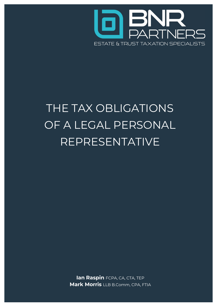

# THE TAX OBLIGATIONS OF A LEGAL PERSONAL REPRESENTATIVE

lan Raspin FCPA, CA, CTA, TEP **Mark Morris** LLB B.Comm, CPA, FTIA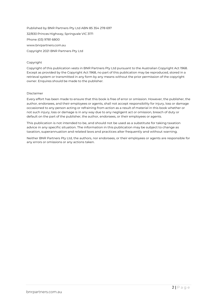Published by BNR Partners Pty Ltd ABN 85 354 278 697 32/830 Princes Highway, Springvale VIC 3171 Phone (03) 9781 6800 www.bnrpartners.com.au Copyright 2021 BNR Partners Pty Ltd

#### Copyright

Copyright of this publication vests in BNR Partners Pty Ltd pursuant to the Australian Copyright Act 1968. Except as provided by the Copyright Act 1968, no part of this publication may be reproduced, stored in a retrieval system or transmitted in any form by any means without the prior permission of the copyright owner. Enquires should be made to the publisher.

#### Disclaimer

Every effort has been made to ensure that this book is free of error or omission. However, the publisher, the author, endorsees, and their employees or agents, shall not accept responsibility for injury, loss or damage occasioned to any person acting or refraining from action as a result of material in this book whether or not such injury, loss or damage is in any way due to any negligent act or omission, breach of duty or default on the part of the publisher, the author, endorsees, or their employees or agents.

This publication is not intended to be, and should not be used as a substitute for taking taxation advice in any specific situation. The information in this publication may be subject to change as taxation, superannuation and related laws and practices alter frequently and without warning.

Neither BNR Partners Pty Ltd, the authors, nor endorsees, or their employees or agents are responsible for any errors or omissions or any actions taken.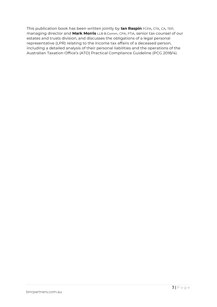This publication book has been written jointly by lan Raspin FCPA, CTA, CA, TEP, managing director and Mark Morris LLB B.Comm, CPA, FTIA, senior tax counsel of our estates and trusts division, and discusses the obligations of a legal personal representative (LPR) relating to the income tax affairs of a deceased person, including a detailed analysis of their personal liabilities and the operations of the Australian Taxation Office's (ATO) Practical Compliance Guideline (PCG 2018/4).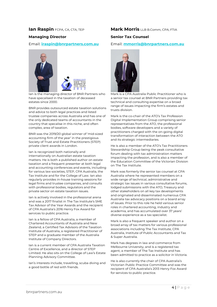### Ian Raspin FCPA, CA, CTA, TEP

#### Managing Director

#### Email: iraspin@bnrpartners.com.au



Ian is the managing director of BNR Partners who have specalised in the taxation of deceased estates since 2000.

BNR provides outsourced estate taxation solutions and advice to both legal practices and listed trustee companies across Australia and has one of the only dedicated teams of accountants in the country that specalise in this niche, and often complex, area of taxation.

BNR was the 2019/20 global winner of 'mid-sized accounting firm of the year' in the prestigious Society of Trust and Estate Practitioners (STEP) private client awards in London.

Ian is recognized both nationally and internationally on Australian estate taxation matters. He is both a published author on estate taxation and a frequent presenter at both legal and accounting conferences and events, including for various law societies, STEP, CPA Australia, the Tax Institute and for the College of Law. Ian also regularly provides in-house training sessions for legal firms and trustee companies, and consults with professional bodies, regulators and the private sector on estate taxation issues.

Ian is actively involved in the professional arena and was a 2017 finalist in The Tax Institute's SME Tax Advisor of the Year Awards and the recipient of CPA Australia's 2016 Henry Fox Award for services to public practice.

Ian is a fellow of CPA Australia, a member of Chartered Accountants of Australia and New Zealand, a Certified Tax Advisors of the Taxation Institute of Australia, a registered Practitioner of STEP and a graduate member of the Australia Institute of Company Directors.

Ian is a current member of CPA Australia Taxation Centre of Excellence, and a director of STEP Limited. He also sits on the College of Law's Estate Planning Advisory Committee.

Ian's interests include, travelling, scuba diving and a good bottle of red with friends.

### **Mark Morris LLB B.Comm, CPA, FTIA**

#### Senior Tax Counsel

#### Email: mmorris@bnrpartners.com.au



Mark is a CPA Australia Public Practitioner who is a senior tax counsel at BNR Partners providing tax technical and consulting expertise on a broad range of issues impacting the firm's estates and trusts division.

Mark is the co-chair of the ATO's Tax Profession Digital Implementation Group comprising senior representatives from the ATO, the professional bodies, software developers and a variety of practitioners charged with the on-going digital transformation of interaction between the ATO and its strategic intermediaries.

He is also a member of the ATO's Tax Practitioners Stewardship Group being the peak consultative forum dealing with tax administration matters impacting the profession, and is also a member of the Education Committee of the Victorian Division on The Tax Institute.

Mark was formerly the senior tax counsel at CPA Australia where he represented members on a wide range of technical, administrative and strategic tax issues in various consultative forums, lodged submissions with the ATO, Treasury and other stakeholders on all key tax developments and originated and disseminated numerous CPA Australia tax advocacy positions on a board array of issues. Prior to this role he held various senior roles in chartered accounting, industry and academia, and has accumulated over 37 years' diverse experience as a tax specialist.

Mark is also a frequent speaker and author on a broad array of tax matters for various professional associations including The Tax Institute, CPA Australia, Institute of Public Accountants and Tax & Super Australia.

Mark has degrees in law and commerce from Melbourne University, and is a registered tax agent, a member of The Tax Institute and has been admitted to practice as a solicitor in Victoria.

He is also currently the chair of CPA Australia's Victorian Public Practice Committee and was the recipient of CPA Australia's 2013 Henry Fox Award for services to public practice.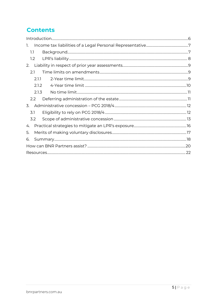# **Contents**

| 1.               |  |  |
|------------------|--|--|
| 1.1              |  |  |
| 1.2              |  |  |
| 2.               |  |  |
| 2.1              |  |  |
| 2.1.1            |  |  |
| 2.1.2            |  |  |
| 2.1.3            |  |  |
| 2.2              |  |  |
| 3.               |  |  |
| 3.1              |  |  |
| 3.2 <sub>1</sub> |  |  |
| 4.               |  |  |
| 5.               |  |  |
| 6.               |  |  |
|                  |  |  |
|                  |  |  |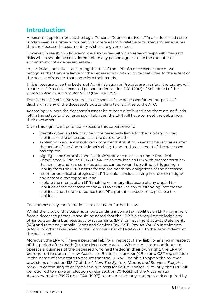# Introduction

A person's appointment as the Legal Personal Representative (LPR) of a deceased estate is often seen as a time-honoured role where a family relative or trusted adviser ensures that the deceased's testamentary wishes are given effect.

However, in reality this fiduciary role also carries with it an array of responsibilities and risks which should be considered before any person agrees to be the executor or administrator of a deceased estate.

In particular, individuals accepting the role of the LPR of a deceased estate must recognise that they are liable for the deceased's outstanding tax liabilities to the extent of the deceased's assets that come into their hands.

This is because once the Letters of Administration or Probate are granted, the tax law will treat the LPR as that deceased person under section 260-140(2) of Schedule 1 of the Taxation Administration Act (1953) (the TAA(1953)).

That is, the LPR effectively stands in the shoes of the deceased for the purposes of discharging any of the deceased's outstanding tax liabilities to the ATO.

Accordingly, where the deceased's assets have been distributed and there are no funds left in the estate to discharge such liabilities, the LPR will have to meet the debts from their own assets.

Given this significant potential exposure this paper seeks to:

- identify when an LPR may become personally liable for the outstanding tax liabilities of the deceased as at the date of death;
- explain why an LPR should only consider distributing assets to beneficiaries after the period of the Commissioner's ability to amend assessment of the deceased has expired;
- highlight the Commissioner's administrative concession under Practical Compliance Guideline PCG 2018/4 which provides an LPR with greater certainty that smaller and less complex estates can be wound up without triggering a liability from the LPR's assets for the pre-death tax obligations of the deceased;
- list other practical strategies an LPR should consider taking in order to mitigate any potential tax exposure; and
- explore the merits of an LPR making voluntary disclosure of any unpaid tax liabilities of the deceased to the ATO to crystallise any outstanding income tax liabilities and therefore reduce the LPR's potential exposure to possible tax liabilities.

Each of these key considerations are discussed further below.

Whilst the focus of this paper is on outstanding income tax liabilities an LPR may inherit from a deceased person, it should be noted that the LPR is also required to lodge any other outstanding business activity statements (BAS) or instalment activity statements (IAS) and remit any unpaid Goods and Services Tax (GST), Pay-As-You-Go Instalments (PAYGI) or other taxes owed to the Commissioner of Taxation up to the date of death of the deceased.

Moreover, the LPR will have a personal liability in respect of any liability arising in respect of the period after death (i.e. the deceased estate). Where an estate continues to operate a business of the deceased who had traded in their own right, the LPR will be required to obtain a new Australian Business Number (ABN) and GST registration in the name of the estate to ensure that the LPR will be able to apply the rollover provisions of section 138-17 of the A New Tax System (Goods and Services Tax) Act (1999) in continuing to carry on the business for GST purposes. Similarly, the LPR will be required to make an election under section 70-105(3) of the Income Tax Assessment Act (1997) (the ITAA (1997)) to ensure that any trading stock acquired by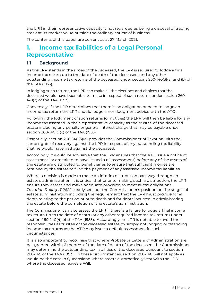the LPR in their representative capacity is not regarded as being a disposal of trading stock at its market value outside the ordinary course of business.

The contents of this paper are current as at 27 March 2021.

# 1. Income tax liabilities of a Legal Personal Representative

### 1.1 Background

As the LPR stands in the shoes of the deceased, the LPR is required to lodge a final income tax return up to the date of death of the deceased, and any other outstanding income tax returns of the deceased, under sections 260-140(3)(a) and (b) of the TAA (1953).

In lodging such returns, the LPR can make all the elections and choices that the deceased would have been able to make in respect of such returns under section 260- 140(2) of the TAA (1953).

Conversely, if the LPR determines that there is no obligation or need to lodge an income tax return the LPR should lodge a non-lodgment advice with the ATO.

Following the lodgment of such returns (or notices) the LPR will then be liable for any income tax assessed in their representative capacity as the trustee of the deceased estate including any penalty or general interest charge that may be payable under section 260-140(3)(c) of the TAA (1953).

Essentially, section 260-140(3)(c) provides the Commissioner of Taxation with the same rights of recovery against the LPR in respect of any outstanding tax liability that he would have had against the deceased.

Accordingly, it would be advisable that the LPR ensures that the ATO issue a notice of assessment (or are taken to have issued a nil assessment) before any of the assets of the estate are distributed to beneficiaries to ensure that sufficient monies are retained by the estate to fund the payment of any assessed income tax liabilities.

Where a decision is made to make an interim distribution part-way through an estate's administration, it is critical that prior to making such a distribution, the LPR ensure they assess and make adequate provision to meet all tax obligations. Taxation Ruling IT 2622 clearly sets out the Commissioner's position on the stages of estate administration including the requirement that the LPR must provide for all debts relating to the period prior to death and for debts incurred in administering the estate before the completion of the estate's administration.

The Commissioner can also assess the LPR if there is a failure to lodge a final income tax return up to the date of death (or any other required income tax return) under section 260-140(4) of the TAA (1953). Accordingly, an LPR is not able to avoid their responsibilities as trustee of the deceased estate by simply not lodging outstanding income tax returns as the ATO may issue a default assessment in such circumstances.

It is also important to recognise that where Probate or Letters of Administration are not granted within 6 months of the date of death of the deceased, the Commissioner may determine the outstanding tax liabilities of the deceased pursuant to section 260-145 of the TAA (1953). In these circumstances, section 260-140 will not apply as would be the case in Queensland where assets automatically vest with the LPR where the deceased leaves a Will.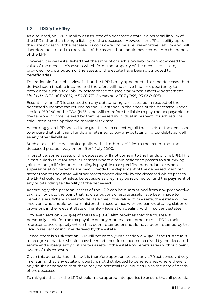# 1.2 LPR's liability

As discussed, an LPR's liability as a trustee of a deceased estate is a personal liability of the LPR rather than being a liability of the deceased. However, an LPR's liability up to the date of death of the deceased is considered to be a representative liability and will therefore be limited to the value of the assets that should have come into the hands of the LPR.

However, it is well established that the amount of such a tax liability cannot exceed the value of the deceased's assets which form the property of the deceased estate, provided no distribution of the assets of the estate have been distributed to beneficiaries.

The rationale for such a view is that the LPR is only appointed after the deceased had derived such taxable income and therefore will not have had an opportunity to provide for such a tax liability before that time (see Barkworth Olives Management Limited v DFC of T (2010) ATC 20-172; Stapleton v FCT (1955) 93 CLR 603).

Essentially, an LPR is assessed on any outstanding tax assessed in respect of the deceased's income tax returns as the LPR stands in the shoes of the deceased under section 260-140 of the TAA (1953), and will therefore be liable to pay the tax payable on the taxable income derived by that deceased individual in respect of such returns calculated at the applicable marginal tax rate.

Accordingly, an LPR should take great care in collecting all the assets of the deceased to ensure that sufficient funds are retained to pay any outstanding tax debts as well as any other liabilities.

Such a tax liability will rank equally with all other liabilities to the extent that the deceased passed away on or after 1 July 2000.

In practice, some assets of the deceased will not come into the hands of the LPR. This is particularly true for smaller estates where a main residence passes to a surviving joint tenant, a life insurance policy is payable to a specified dependant or when superannuation benefits are paid directly to a dependant of the deceased member rather than to the estate. All other assets owned directly by the deceased which pass to the LPR should nonetheless be set aside as they may be required to fund the payment of any outstanding tax liability of the deceased.

Accordingly, the personal assets of the LPR can be quarantined from any prospective tax liability upto the point that no distributions of estate assets have been made to beneficiaries. Where an estate's debts exceed the value of its assets, the estate will be insolvent and should be administered in accordance with the bankruptcy legislation or provisions in the relevant State or Territory legislation dealing with insolvent estates.

However, section 254(1)(e) of the ITAA (1936) also provides that the trustee is personally liable for the tax payable on any monies that come to the LPR in their representative capacity which has been retained or should have been retained by the LPR in respect of income derived by the estate.

Hence, there is a risk that an LPR will not comply with section 254(1)(e) if the trustee fails to recognise that tax 'should' have been retained from income received by the deceased estate and subsequently distributes assets of the estate to beneficiaries without being aware of this exposure.

Given this potential tax liability it is therefore appropriate that any LPR act conservatively in ensuring that any estate property is not distributed to beneficiaries where there is any doubt or concern that there may be potential tax liabilities up to the date of death of the deceased.

To mitigate this risk the LPR should make appropriate queries to ensure that all potential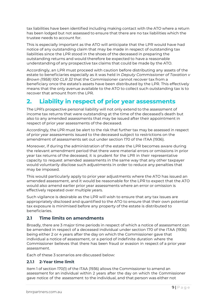tax liabilities have been identified including making contact with the ATO where a return has been lodged but not assessed to ensure that there are no tax liabilities which the trustee needs to account for.

This is especially important as the ATO will anticipate that the LPR would have had notice of any outstanding claim that may be made in respect of outstanding tax liabilities since the LPR stood in the shoes of the deceased in preparing the outstanding returns and would therefore be expected to have a reasonable understanding of any prospective tax claims that could be made by the ATO.

Accordingly, an LPR must proceed with caution before distributing any assets of the estate to beneficiaries especially as it was held in Deputy Commissioner of Taxation v Brown (1958) 100 CLR 32 that the Commissioner cannot recover tax from a beneficiary once the estate's assets have been distributed by the LPR. This effectively means that the only avenue available to the ATO to collect such outstanding tax is to recover that amount from the LPR.

# 2. Liability in respect of prior year assessments

The LPR's prospective personal liability will not only extend to the assessment of income tax returns that were outstanding at the time of the deceased's death but also to any amended assessments that may be issued after their appointment in respect of prior year assessments of the deceased.

Accordingly, the LPR must be alert to the risk that further tax may be assessed in respect of prior year assessments issued to the deceased subject to restrictions on the amendment of assessments set out under section 170 of the ITAA (1936).

Moreover, if during the administration of the estate the LPR becomes aware during the relevant amendment period that there were material errors or omissions in prior year tax returns of the deceased, it is prudent for the LPR in their representative capacity to request amended assessments in the same way that any other taxpayer would voluntarily disclose such adjustments in order to reduce any penalties that may be imposed.

This would particularly apply to prior year adjustments where the ATO has issued an amended assessment, and it would be reasonable for the LPR to expect that the ATO would also amend earlier prior year assessments where an error or omission is effectively repeated over multiple years.

Such vigilance is desirable as the LPR will wish to ensure that any tax issues are appropriately disclosed and quantified to the ATO to ensure that their own potential tax exposure is minimised before any property of the estate is distributed to beneficiaries.

### 2.1 Time limits on amendments

Broadly, there are 3 major time periods in respect of which a notice of assessment can be amended in respect of a deceased individual under section 170 of the ITAA (1936) being either 2 or 4 years after the day on which the Commissioner gave that individual a notice of assessment, or a period of indefinite duration where the Commissioner believes that there has been fraud or evasion in respect of a prior year assessment.

Each of these 3 scenarios are discussed below:

### 2.1.1 2-Year time limit

Item 1 of section 170(1) of the ITAA (1936) allows the Commissioner to amend an assessment for an individual within 2 years after the day on which the Commissioner gave notice of the assessment to the individual, and that person was either not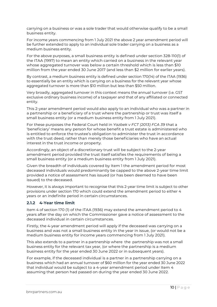carrying on a business or was a sole trader that would otherwise qualify to be a small business entity.

For income years commencing from 1 July 2021 the above 2 year amendment period will be further extended to apply to an individual sole trader carrying on a business as a medium business entity.

For the above purposes, a small business entity is defined under section 328-110(1) of the ITAA (1997) to mean an entity which carried on a business in the relevant year whose aggregated turnover was below a certain threshold which is less than \$10 million from the year ended 30 June 2017 (and less than \$2 million for earlier years).

By contrast, a medium business entity is defined under section 170(14) of the ITAA (1936) to essentially be an entity which is carrying on a business for the relevant year whose aggregated turnover is more than \$10 million but less than \$50 million.

Very broadly, aggregated turnover in this context means the annual turnover (i.e. GST exclusive ordinary business income) of a taxpayer and that of any affiliated or connected entity.

This 2-year amendment period would also apply to an individual who was a partner in a partnership or a beneficiary of a trust where the partnership or trust was itself a small business entity (or a medium business entity from 1 July 2021).

For these purposes the Federal Court held in Yazbek v FCT (2013) FCA 39 that a 'beneficiary' means any person for whose benefit a trust estate is administered who is entitled to enforce the trustee's obligation to administer the trust in accordance with the trust deed, rather than merely those beneficiaries who have an actual interest in the trust income or property.

Accordingly, an object of a discretionary trust will be subject to the 2-year amendment period provided the trust itself satisfies the requirements of being a small business entity (or a medium business entity from 1 July 2021).

Given the breadth of individuals covered by Item 1 the amendment period for most deceased individuals would predominantly be capped to the above 2-year time limit provided a notice of assessment has issued (or has been deemed to have been issued) to the deceased.

However, it is always important to recognise that this 2-year time limit is subject to other provisions under section 170 which could extend the amendment period to either 4 years or an indefinite period in certain circumstances.

### 2.1.2 4-Year time limit

Item 4 of section 170 (1) of the ITAA (1936) may extend the amendment period to 4 years after the day on which the Commissioner gave a notice of assessment to the deceased individual in certain circumstances.

Firstly, the 4-year amendment period will apply if the deceased was carrying on a business and was not a small business entity in the year in issue, (or would not be a medium business entity for income years commencing from 1 July 2021).

This also extends to a partner in a partnership where the partnership was not a small business entity for the relevant tax year, (or where the partnership is a medium business entity for the year ended 30 June 2022 or in subsequent years).

For example, if the deceased individual is a partner in a partnership carrying on a business which had an annual turnover of \$60 million for the year ended 30 June 2022 that individual would be subject to a 4-year amendment period under Item 4 assuming that person had passed on during the year ended 30 June 2022.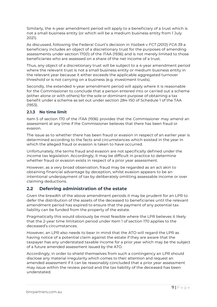Similarly, the 4-year amendment period will apply to a beneficiary of a trust which is not a small business entity (or which will be a medium business entity from 1 July 2021).

As discussed, following the Federal Court's decision in Yazbek v FCT (2013) FCA 39 a beneficiary includes an object of a discretionary trust for the purposes of amending assessments under section 170(1) of the ITAA (1936) and is not merely limited to those beneficiaries who are assessed on a share of the net income of a trust.

Thus, any object of a discretionary trust will be subject to a 4-year amendment period where the relevant trust is not a small business entity or medium business entity in the relevant year because it either exceeds the applicable aggregated turnover threshold or is not carrying on a business (e.g. investment trusts).

Secondly, the extended 4-year amendment period will apply where it is reasonable for the Commissioner to conclude that a person entered into or carried out a scheme (either alone or with others) for the sole or dominant purpose of obtaining a tax benefit under a scheme as set out under section 284-150 of Schedule 1 of the TAA (1953).

### 2.1.3 No time limit

Item 5 of section 170 of the ITAA (1936) provides that the Commissioner may amend an assessment at any time if the Commissioner believes that there has been fraud or evasion.

The issue as to whether there has been fraud or evasion in respect of an earlier year is determined according to the facts and circumstances which existed in the year in which the alleged fraud or evasion is taken to have occurred.

Unfortunately, the terms fraud and evasion are not specifically defined under the income tax legislation. Accordingly, it may be difficult in practice to determine whether fraud or evasion exists in respect of a prior year assessment.

However, as a very broad observation, fraud may be regarded as an act akin to obtaining financial advantage by deception, whilst evasion appears to be an intentional underpayment of tax by deliberately omitting assessable income or over claiming deductions.

### 2.2 Deferring administration of the estate

Given the breadth of the above amendment periods it may be prudent for an LPR to defer the distribution of the assets of the deceased to beneficiaries until the relevant amendment period has expired to ensure that the payment of any potential tax liability can be funded from the property of the estate.

Pragmatically this would obviously be most feasible where the LPR believes it likely that the 2-year time limitation period under Item 1 of section 170 applies to the deceased's circumstances.

However, an LPR also needs to bear in mind that the ATO will regard the LPR as having notice of a potential claim against the estate if they are aware that the taxpayer has any understated taxable income for a prior year which may be the subject of a future amended assessment issued by the ATO.

Accordingly, in order to shield themselves from such a contingency an LPR should disclose any material irregularity which comes to their attention and request an amended assessment if it can be reasonably concluded that a prior year assessment may issue within the review period and the tax liability of the deceased has been understated.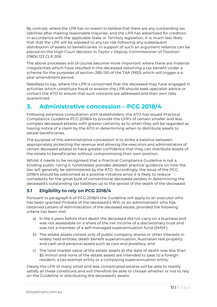By contrast, where the LPR has no reason to believe that there are any outstanding tax liabilities after making reasonable inquiries, and the LPR has advertised for creditors in accordance with the applicable State or Territory legislation, it is much less likely that that the LPR will be exposed to any tax risk following any subsequent distribution of assets to beneficiaries. In support of such an argument reliance can be placed on the High Court decision in Taylor v Deputy Commissioner of Taxation (1969) 123 CLR 206.

The above processes will of course become more important where there are material irregularities which have resulted in the deceased obtaining a tax benefit under a scheme for the purposes of section 285-150 of the TAA (1953) which will trigger a 4 year amendment period.

Needless to say, where the LPR is concerned that the deceased may have engaged in activities which constitute fraud or evasion the LPR should seek specialist advice or contact the ATO to ensure that such concerns are addressed and their own risks quarantined.

# 3. Administrative concession – PCG 2018/4

Following extensive consultation with stakeholders, the ATO has issued Practical Compliance Guideline PCG 2018/4 to provide the LPR's of certain smaller and less complex deceased estates with greater certainty as to when they will be regarded as having notice of a claim by the ATO in determining when to distribute assets to estate beneficiaries.

The purpose of this administrative concession is to strike a balance between appropriately protecting the revenue and allowing the executors and administrators of certain deceased estates to have greater confidence that they can distribute assets of the estate to beneficiaries without compromising their own position.

Whilst it needs to be recognised that a Practical Compliance Guideline is not a binding public ruling it nonetheless provides detailed practical guidance on how the law will generally be administered by the ATO. Accordingly, the issue of the PCG 2018/4 should be welcomed as a positive initiative since it is likely to reduce complexity for the great bulk of conventional deceased estates in determining the deceased's outstanding tax liabilities up to the period of the death of the deceased.

# 3.1 Eligibility to rely on PCG 2018/4

Pursuant to paragraph 6 of PCG 2018/4 the Guideline will apply to an executor who has been granted Probate of the deceased's Will, or an administrator who has obtained Letters of Administration of the deceased estate, provided the following criteria has been met:

- a) In the 4 years before their death the deceased did not carry on a business and was not assessable on a share of the net income of a discretionary trust and was not a member of a self-managed superannuation fund (SMSF);
- b) The estate assets consist only of public company shares or other interests in widely held entities, death benefit superannuation, Australian real property and cash and personal assets such as cars and jewellery; and
- c) The total market value of the estate assets at the date of death was less than \$5 million and none of the estate assets are intended to pass to a foreign resident, a tax-exempt entity or a complying superannuation entity.

Clearly the LPR of many small and less complicated estates will be able to readily satisfy all these conditions and will therefore be able to choose whether or not to rely on the Guideline in distributing the deceased's assets.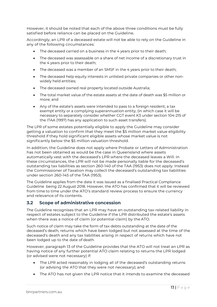However, it should be noted that each of the above three conditions must be fully satisfied before reliance can be placed on the Guideline.

Accordingly, an LPR of a deceased estate will not be able to rely on the Guideline in any of the following circumstances:

- The deceased carried on a business in the 4 years prior to their death;
- The deceased was assessable on a share of net income of a discretionary trust in the 4 years prior to their death;
- The deceased was a member of an SMSF in the 4 years prior to their death;
- The deceased help equity interests in unlisted private companies or other nonwidely held entities;
- The deceased owned real property located outside Australia;
- The total market value of the estate assets at the date of death was \$5 million or more; and
- Any of the estate's assets were intended to pass to a foreign resident, a tax exempt entity or a complying superannuation entity, (in which case it will be necessary to separately consider whether CGT event K3 under section 104-215 of the ITAA (1997) has any application to such asset transfers).

The LPR of some estates potentially eligible to apply the Guideline may consider getting a valuation to confirm that they meet the \$5 million market value eligibility threshold if they hold significant eligible assets whose market value is not significantly below the \$5 million valuation threshold.

In addition, the Guideline does not apply where Probate or Letters of Administration has not been obtained as would be the case in Queensland where assets automatically vest with the deceased's LPR where the deceased leaves a Will. In these circumstances, the LPR will not be made personally liable for the deceased's outstanding tax liabilities as section 260-140 of the TAA (1953) does not apply. Instead the Commissioner of Taxation may collect the deceased's outstanding tax liabilities under section 260-145 of the TAA (1953).

The Guideline applies from the date it was issued as a finalised Practical Compliance Guideline being 22 August 2018. However, the ATO has confirmed that it will be reviewed from time to time under the ATO's standard review process to ensure the currency and relevance of its contents.

### 3.2 Scope of administrative concession

The Guideline recognises that an LPR may have an outstanding tax-related liability in respect of estates subject to the Guideline if the LPR distributed the estate's assets when there was a notice of claim (or potential claim) by the ATO.

Such notice of claim may take the form of tax debts outstanding at the date of the deceased's death, returns which have been lodged but not assessed at the time of the deceased's death and any tax liabilities arising in respect of returns which have not been lodged up to the date of death.

However, paragraph 13 of the Guideline provides that the ATO will not treat an LPR as having notice of any further potential ATO claim relating to returns the LPR lodged (or advised were not necessary) if:

- The LPR acted reasonably in lodging all of the deceased's outstanding returns (or advising the ATO that they were not necessary); and
- The ATO has not given the LPR notice that it intends to examine the deceased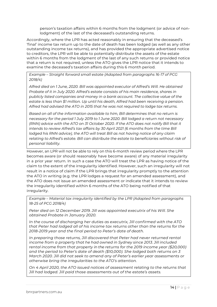person's taxation affairs within 6 months from the lodgment (or advice of nonlodgment) of the last of the deceased's outstanding returns.

Accordingly, where the LPR has acted reasonably in ensuring that the deceased's 'final' income tax return up to the date of death has been lodged (as well as any other outstanding income tax returns), and has provided the appropriate advertised notice to creditors, the LPR will be able to potentially distribute the assets of the estate within 6 months from the lodgment of the last of any such returns or provided notice that a return is not required, unless the ATO gives the LPR notice that it intends to examine the deceased's taxation affairs during this 6 month period.

Example – Straight forward small estate (Adapted from paragraphs 16-17 of PCG 2018/4)

Alfred died on 1 June, 2020. Bill was appointed executor of Alfred's Will. He obtained Probate of it in July 2020. Alfred's estate consists of his main residence, shares in publicly listed companies and money in a bank account. The collective value of the estate is less than \$1 million. Up until his death, Alfred had been receiving a pension. Alfred had advised the ATO in 2015 that he was not required to lodge tax returns.

Based on all of the information available to him, Bill determines that no return is necessary for the period 1 July 2019 to 1 June 2020. Bill lodged a return not necessary (RNN) advice with the ATO on 31 October 2020. If the ATO does not notify Bill that it intends to review Alfred's tax affairs by 30 April 2021 (6 months from the time Bill lodged his RNN advice), the ATO will treat Bill as not having notice of any claim relating to Alfred's estate. Bill can distribute the estate to beneficiaries without risk of personal liability.

However, an LPR will not be able to rely on this 6-month review period where the LPR becomes aware (or should reasonably have become aware) of any material irregularity in a prior year return. In such a case the ATO will treat the LPR as having notice of the claim to the extent of the irregularity identified. However, such an irregularity will not result in a notice of claim if the LPR brings that irregularity promptly to the attention the ATO in writing (e.g. the LPR lodges a request for an amended assessment), and the ATO does not issue an amended assessment or indicate that it intends to review the irregularity identified within 6 months of the ATO being notified of that irregularity.

Example – Material tax irregularity identified by the LPR (Adapted from paragraphs 18-25 of PCG 2018/4)

Peter died on 12 December 2019. Jill was appointed executrix of his Will. She obtained Probate in January 2020.

In the course of discharging her duties as executrix, Jill confirmed with the ATO that Peter had lodged all of his income tax returns other than the returns for the 2018-2019 year and the final period to Peter's date of death.

In preparing those returns, Jill discovered that Peter had never returned rental income from a property that he had owned in Sydney since 2013. Jill included rental income from that property in the returns for the 2019 income year (\$20,000) and the period to Peter's date of death (\$10,000). She lodged both returns on 3 March 2020. Jill did not seek to amend any of Peter's earlier year assessments or otherwise bring the irregularities to the ATO's attention.

On 4 April 2020, the ATO issued notices of assessment relating to the returns that Jill had lodged. Jill paid those assessments out of the estate's assets.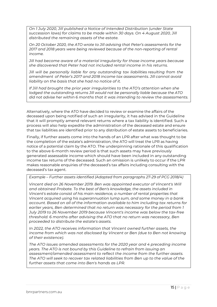On 1 July 2020, Jill published a Notice of Intended Distribution (under State succession laws) for claims to be made within 30 days. On 4 August 2020, Jill distributed the remaining assets of the estate.

On 20 October 2020, the ATO wrote to Jill advising that Peter's assessments for the 2017 and 2018 years were being reviewed because of the non-reporting of rental income.

Jill had become aware of a material irregularity for those income years because she discovered that Peter had not included rental income in his returns.

Jill will be personally liable for any outstanding tax liabilities resulting from the amendment of Peter's 2017 and 2018 income tax assessments. Jill cannot avoid liability on the basis that she had no notice of it.

If Jill had brought the prior year irregularities to the ATO's attention when she lodged the outstanding returns Jill would not be personally liable because the ATO did not advise her within 6 months that it was intending to review the assessments.

Alternatively, where the ATO have decided to review or examine the affairs of the deceased upon being notified of such an irregularity, it has advised in the Guideline that it will promptly amend relevant returns where a tax liability is identified. Such a process will also help expedite the administration of the deceased estate and ensure that tax liabilities are identified prior to any distribution of estate assets to beneficiaries.

Finally, if further assets come into the hands of an LPR after what was thought to be the completion of the estate's administration, the ATO will treat the LPR as having notice of a potential claim by the ATO. The underpinning rationale of this qualification to the above 6-month review period is that such assets may have previously generated assessable income which should have been included in any outstanding income tax returns of the deceased. Such an omission is unlikely to occur if the LPR makes reasonable enquiries of the deceased's tax affairs including consulting with the deceased's tax agent.

Example – Further assets identified (Adapted from paragraphs 27-29 of PCG 2018/4)

Vincent died on 26 November 2019. Ben was appointed executor of Vincent's Will and obtained Probate. To the best of Ben's knowledge, the assets included in Vincent's estate consist of his main residence, a number of rental properties that Vincent acquired using his superannuation lump sum, and some money in a bank account. Based on all of the information available to him including tax returns for earlier years, Ben determined that no return was necessary for the period from 1 July 2019 to 26 November 2019 because Vincent's income was below the tax-free threshold. 6 months after advising the ATO that no return was necessary, Ben proceeded to distribute the estate's assets.

In 2022, the ATO receives information that Vincent owned further assets, the income from which was not disclosed by Vincent or Ben (due to Ben not knowing of their existence).

The ATO issues amended assessments for the 2020 year and 4 preceding income years. The ATO is not bound by this Guideline to refrain from issuing an assessment/amended assessment to reflect the income from the further assets. The ATO will seek to recover tax related liabilities from Ben up to the value of the further assets that come into Ben's hands as LPR.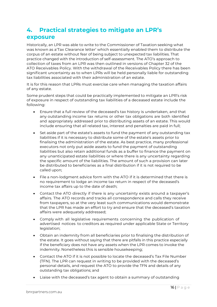# 4. Practical strategies to mitigate an LPR's exposure

Historically, an LPR was able to write to the Commissioner of Taxation seeking what was known as a 'Tax Clearance letter' which essentially enabled them to distribute the corpus of an estate without fear of being subject to unexpected tax liabilities. That practice changed with the introduction of self-assessment. The ATO's approach to collection of taxes from an LPR was then outlined in versions of Chapter 32 of the ATO Receivables Policy. With the withdrawal of the Receivables Policy there has been significant uncertainty as to when LPRs will be held personally liable for outstanding tax liabilities associated with their administration of an estate.

It is for this reason that LPRs must exercise care when managing the taxation affairs of any estate.

Some prudent steps that could be practically implemented to mitigate an LPR's risk of exposure in respect of outstanding tax liabilities of a deceased estate include the following:

- Ensure that a full review of the deceased's tax history is undertaken, and that any outstanding income tax returns or other tax obligations are both identified and appropriately addressed prior to distributing assets of an estate. This would include ensuring that all related tax, interest and penalties are paid in full;
- Set aside part of the estate's assets to fund the payment of any outstanding tax liabilities if it is necessary to distribute some of the estate's assets prior to finalising the administration of the estate. As best practice, many professional executors not only put aside assets to fund the payment of outstanding liabilities but also retain additional funds as a buffer to finance the payment on any unanticipated estate liabilities or where there is any uncertainty regarding the specific amount of the liabilities. The amount of such a provision can later be distributed to beneficiaries as a final distribution if it is not required to be called upon;
- File a non-lodgment advice form with the ATO if it is determined that there is no requirement to lodge an income tax return in respect of the deceased's income tax affairs up to the date of death;
- Contact the ATO directly if there is any uncertainty exists around a taxpayer's affairs. The ATO records and tracks all correspondence and calls they receive from taxpayers, so at the very least such communications would demonstrate that the LPR has made an effort to try and ensure that the deceased's taxation affairs were adequately addressed;
- Comply with all legislative requirements concerning the publication of advertised notices to creditors as required under applicable State or Territory legislation;
- Obtain an indemnity from all beneficiaries prior to finalising the distribution of the estate. It goes without saying that there are pitfalls in this practice especially if the beneficiary does not have any assets when the LPR comes to invoke the indemnity. Nonetheless this is sensible housekeeping;
- Contact the ATO if it is not possible to locate the deceased's Tax File Number (TFN). The LPR can request in writing to be provided with the deceased's personal details, and request the ATO to provide the TFN and details of any outstanding tax obligations; and
- Liaise with the deceased's tax agent to obtain a summary of outstanding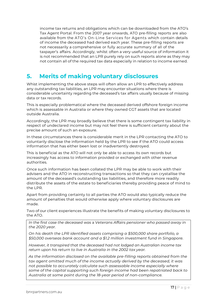income tax returns and obligations which can be downloaded from the ATO's Tax Agent Portal. From the 2007 year onwards, ATO pre-filling reports are also available from the ATO's On-Line Services for Agents which contain details of income the deceased had derived each year. These pre-filling reports are not necessarily a comprehensive or fully accurate summary of all of the taxpayer's affairs. Accordingly, whilst often a very useful source of information it is not recommended that an LPR purely rely on such reports alone as they may not contain all of the required tax data especially in relation to income earned.

# 5. Merits of making voluntary disclosures

Whist implementing the above steps will often allow an LPR to effectively address any outstanding tax liabilities, an LPR may encounter situations where there is considerable uncertainty regarding the deceased's tax affairs usually because of missing data or tax records.

This is especially problematical where the deceased derived offshore foreign income which is assessable in Australia or where they owned CGT assets that are located outside Australia.

Accordingly, the LPR may broadly believe that there is some contingent tax liability in respect of undeclared income but may not feel there is sufficient certainty about the precise amount of such an exposure.

In these circumstances there is considerable merit in the LPR contacting the ATO to voluntarily disclose the information held by the LPR to see if the ATO could access information that has either been lost or inadvertently destroyed.

This is beneficial as the ATO will not only be able to access its own records but increasingly has access to information provided or exchanged with other revenue authorities.

Once such information has been collated the LPR may be able to work with their advisers and the ATO in reconstructing transactions so that they can crystallise the amount of the deceased's outstanding tax liabilities, and therefore more readily distribute the assets of the estate to beneficiaries thereby providing peace of mind to the LPR.

Apart from providing certainty to all parties the ATO would also typically reduce the amount of penalties that would otherwise apply where voluntary disclosures are made.

Two of our client experiences illustrate the benefits of making voluntary disclosures to the ATO.

In the first case the deceased was a Veterans Affairs pensioner who passed away in the 2020 year.

On his death the LPR identified assets comprising a \$500,000 share portfolio, a \$50,000 overseas bank account and a \$1.2 million investment fund in Singapore.

However, it transpired that the deceased had not lodged an Australian income tax return upon his return to live in Australia in the 2002 tax year.

As the information disclosed on the available pre-filling reports obtained from the tax agent omitted much of the income actually derived by the deceased, it was not possible to accurately calculate such assessable income especially where some of the capital supporting such foreign income had been repatriated back to Australia at some point during the 18-year period of non-compliance.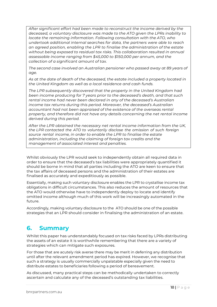After significant effort had been made to reconstruct the income derived by the deceased, a voluntary disclosure was made to the ATO given the LPRs inability to locate the remaining information. Following consultation with the ATO, who undertook additional internal searches for data, the partners were able to reach an agreed position, enabling the LPR to finalise the administration of the estate without being exposed to residual tax risks. This collaboration resulted in annual assessable income ranging from \$45,000 to \$150,000 per annum, and the collection of a significant amount of tax.

The second case involved an Australian pensioner who passed away at 89 years of age.

As at the date of death of the deceased, the estate included a property located in the United Kingdom as well as a local residence and cash funds.

The LPR subsequently discovered that the property in the United Kingdom had been income producing for 7 years prior to the deceased's death, and that such rental income had never been declared in any of the deceased's Australian income tax returns during this period. Moreover, the deceased's Australian accountant had not been appraised of the existence of the overseas rental property, and therefore did not have any details concerning the net rental income derived during this period.

After the LPR obtained the necessary net rental income information from the UK, the LPR contacted the ATO to voluntarily disclose the omission of such foreign source rental income, in order to enable the LPR to finalise the estate administration, including the claiming of foreign tax credits and the management of associated interest and penalties.

Whilst obviously the LPR would seek to independently obtain all required data in order to ensure that the deceased's tax liabilities were appropriately quantified it should be borne in mind that all parties including the ATO are keen to ensure that the tax affairs of deceased persons and the administration of their estates are finalised as accurately and expeditiously as possible.

Essentially, making such voluntary disclosure enables the LPR to crystallise income tax obligations in difficult circumstances. This also reduces the amount of resources that the ATO would otherwise have to independently deploy to locate and identify omitted income although much of this work will be increasingly automated in the future.

Accordingly, making voluntary disclosure to the ATO should be one of the possible strategies that an LPR should consider in finalising the administration of an estate.

# 6. Summary

Whilst this paper has understandably focused on tax risks faced by LPRs distributing the assets of an estate it is worthwhile remembering that there are a variety of strategies which can mitigate such exposures.

For those that are acutely risk averse there may be merit in deferring any distribution until after the relevant amendment period has expired. However, we recognise that such a strategy is usually commercially unpalatable especially given the need to distribute estates to beneficiaries following a period of bereavement.

As discussed, many practical steps can be methodically undertaken to correctly ascertain and calculate any of the deceased's outstanding tax liabilities.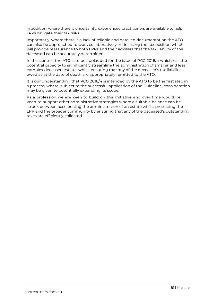In addition, where there is uncertainty, experienced practitioners are available to help LPRs navigate their tax risks.

Importantly, where there is a lack of reliable and detailed documentation the ATO can also be approached to work collaboratively in finalising the tax position which will provide reassurance to both LPRs and their advisers that the tax liability of the deceased can be accurately determined.

In this context the ATO is to be applauded for the issue of PCG 2018/4 which has the potential capacity to significantly streamline the administration of smaller and less complex deceased estates whilst ensuring that any of the deceased's tax liabilities owed as at the date of death are appropriately remitted to the ATO.

It is our understanding that PCG 2018/4 is intended by the ATO to be the first step in a process, where, subject to the successful application of the Guideline, consideration may be given to potentially expanding its scope.

As a profession we are keen to build on this initiative and over time would be keen to support other administrative strategies where a suitable balance can be struck between accelerating the administration of an estate whilst protecting the LPR and the broader community by ensuring that any of the deceased's outstanding taxes are efficiently collected.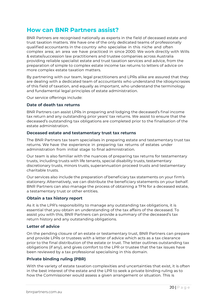# How can BNR Partners assist?

BNR Partners are recognised nationally as experts in the field of deceased estate and trust taxation matters. We have one of the only dedicated teams of professionally qualified accountants in the country who specialise in this niche and often complex area; an area we have practiced in since 2000. We work directly with Wills & estate/succession law practitioners and trustee companies across Australia providing reliable specialist estate and trust taxation services and advice, from the preparation of simple to complex estate income tax returns to letters of advice on more complex estate taxation matters.

By partnering with our team, legal practitioners and LPRs alike are assured that they are dealing with a dedicated team of accountants who understand the idiosyncrasies of this field of taxation, and equally as important, who understand the terminology and fundamental legal principles of estate administration.

Our service offerings include:

### Date of death tax returns

BNR Partners can assist LPRs in preparing and lodging the deceased's final income tax return and any outstanding prior years' tax returns. We assist to ensure that the deceased's outstanding tax obligations are completed prior to the finalisation of the estate administration.

### Deceased estate and testamentary trust tax returns

The BNR Partners tax team specialises in preparing estate and testamentary trust tax returns. We have the experience in preparing tax returns of estates under administration from initial stage to final administration.

Our team is also familiar with the nuances of preparing tax returns for testamentary trusts, including trusts with life tenants, special disability trusts, testamentary discretionary trusts, minors trusts, superannuation proceed trusts and testamentary charitable trusts.

Our services also include the preparation of beneficiary tax statements on your firm's stationery. Alternatively, we can distribute the beneficiary statements on your behalf. BNR Partners can also manage the process of obtaining a TFN for a deceased estate, a testamentary trust or other entities.

### Obtain a tax history report

As it is the LPR's responsibility to manage any outstanding tax obligations, it is essential that you obtain an understanding of the tax affairs of the deceased. To assist you with this, BNR Partners can provide a summary of the deceased's tax return history and any outstanding obligations.

### Letter of advice

On the pending closure of an estate or testamentary trust, BNR Partners can prepare and provide LPRs or trustees with a letter of advice which acts as a tax clearance prior to the final distribution of the estate or trust. The letter outlines outstanding tax obligations (if any), and gives comfort to the LPR or trustee that the tax issues have been reviewed by a tax professional specialising in this domain.

### Private binding ruling (PBR)

With the variety of estate taxation complexities and uncertainties that exist, it is often in the best interest of the estate and the LPR to seek a private binding ruling as to how the Commissioner would assess a given arrangement or situation. This is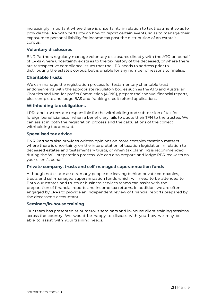increasingly important where there is uncertainty in relation to tax treatment so as to provide the LPR with certainty on how to report certain events, so as to manage their exposure to personal liability for income tax post the distribution of an estate's corpus.

### Voluntary disclosures

BNR Partners regularly manage voluntary disclosures directly with the ATO on behalf of LPRs where uncertainty exists as to the tax history of the deceased, or where there are retrospective compliance issues that the LPR needs to address prior to distributing the estate's corpus, but is unable for any number of reasons to finalise.

### Charitable trusts

We can manage the registration process for testamentary charitable trust endorsements with the appropriate regulatory bodies such as the ATO and Australian Charities and Non-for-profits Commission (ACNC), prepare their annual financial reports, plus complete and lodge BAS and franking credit refund applications.

### Withholding tax obligations

LPRs and trustees are responsible for the withholding and submission of tax for foreign beneficiaries, or when a beneficiary fails to quote their TFN to the trustee. We can assist in both the registration process and the calculations of the correct withholding tax amount.

### Specalised tax advice

BNR Partners also provides written opinions on more complex taxation matters where there is uncertainty on the interpretation of taxation legislation in relation to deceased estates and testamentary trusts, or when tax planning is recommended during the Will preparation process. We can also prepare and lodge PBR requests on your client's behalf.

### Private company, trusts and self-managed superannuation funds

Although not estate assets, many people die leaving behind private companies, trusts and self-managed superannuation funds which will need to be attended to. Both our estates and trusts or business services teams can assist with the preparation of financial reports and income tax returns. In addition, we are often engaged by LPRs to provide an independent review of financial reports prepared by the deceased's accountant.

### Seminars/in-house training

Our team has presented at numerous seminars and in-house client training sessions across the country. We would be happy to discuss with you how we may be able to assist with your training needs.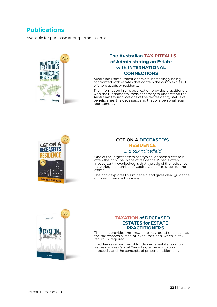# **Publications**

Available for purchase at bnrpartners.com.au



### The Australian TAX PITFALLS of Administering an Estate with INTERNATIONAL **CONNECTIONS**

Australian Estate Practitioners are increasingly being confronted with estates that contain the complexities of offshore assets or residents.

The information in this publication provides practitioners with the fundamental tools necessary to understand the Australian tax implications of the tax residency status of beneficiaries, the deceased, and that of a personal legal representative.



### CGT ON A DECEASED'S RESIDENCE

#### … a tax minefield

One of the largest assets of a typical deceased estate is often the principal place of residence. What is often inadvertently overlooked is that the sale of the residence may trigger a number of Capital Gains Tax issues for the estate.

The book explores this minefield and gives clear guidance on how to handle this issue.



### TAXATION of DECEASED ESTATES for ESTATE **PRACTITIONERS**

The book provides the answer to key questions such as the tax responsibilities of executors and when a tax return is required.

It addresses a number of fundamental estate taxation issues such as Capital Gains Tax, superannuation proceeds and the concepts of present entitlement.